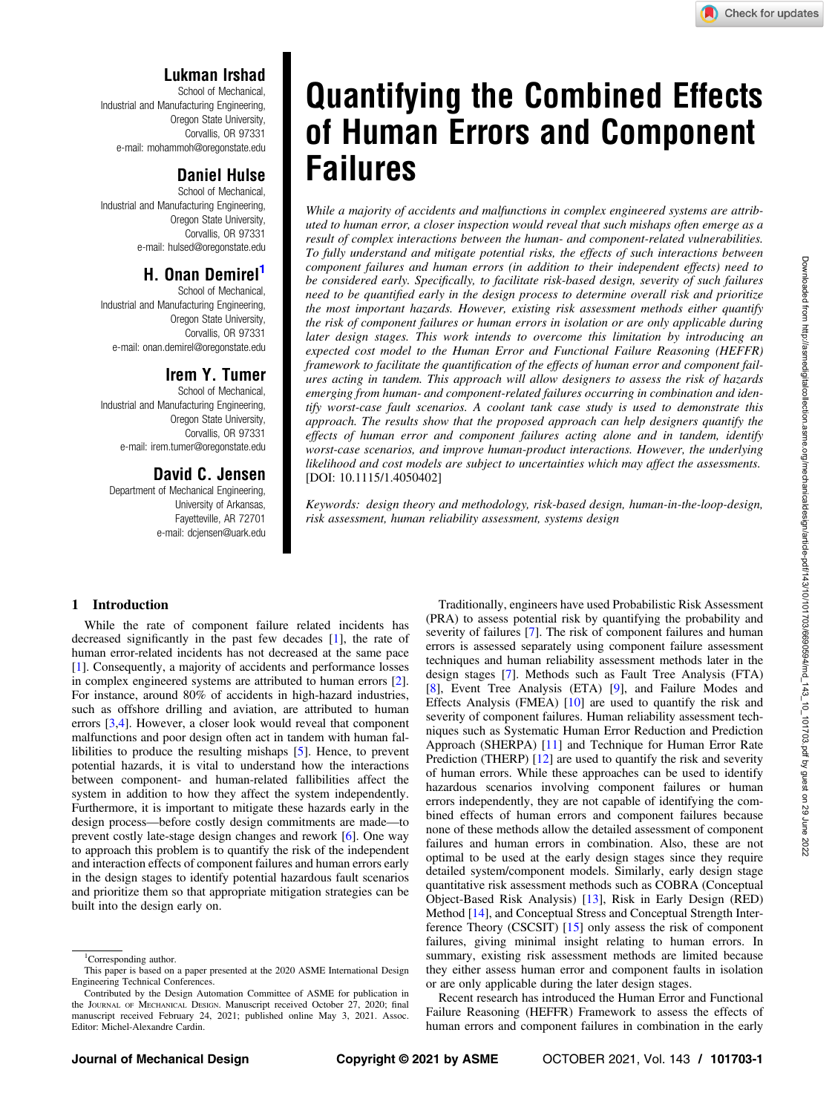Downloaded from http://asmedigitalcollection.asme.org/mechanicaldesign/article-pdf/143/10/101703/6690594/md\_143\_10\_101703.pdf by guest on 29 June 2022

Downloaded from http://asmedigitalcollection.asme.org/mechanicaldesign/article-pdf/143/10/101703/690694/md\_143\_10\_101703.pdf by guest on 29 June 2022

# Lukman Irshad

School of Mechanical, Industrial and Manufacturing Engineering, Oregon State University, Corvallis, OR 97331 e-mail: [mohammoh@oregonstate.edu](mailto:mohammoh@oregonstate.edu)

# Daniel Hulse

School of Mechanical, Industrial and Manufacturing Engineering, Oregon State University, Corvallis, OR 97331 e-mail: [hulsed@oregonstate.edu](mailto:hulsed@oregonstate.edu)

# H. Onan Demirel'

School of Mechanical, Industrial and Manufacturing Engineering, Oregon State University, Corvallis, OR 97331 e-mail: [onan.demirel@oregonstate.edu](mailto:onan.demirel@oregonstate.edu)

## Irem Y. Tumer

School of Mechanical, Industrial and Manufacturing Engineering, Oregon State University, Corvallis, OR 97331 e-mail: [irem.tumer@oregonstate.edu](mailto:irem.tumer@oregonstate.edu)

# David C. Jensen

Department of Mechanical Engineering, University of Arkansas, Fayetteville, AR 72701 e-mail: [dcjensen@uark.edu](mailto:dcjensen@uark.edu)

# Quantifying the Combined Effects of Human Errors and Component Failures

While a majority of accidents and malfunctions in complex engineered systems are attributed to human error, a closer inspection would reveal that such mishaps often emerge as a result of complex interactions between the human- and component-related vulnerabilities. To fully understand and mitigate potential risks, the effects of such interactions between component failures and human errors (in addition to their independent effects) need to be considered early. Specifically, to facilitate risk-based design, severity of such failures need to be quantified early in the design process to determine overall risk and prioritize the most important hazards. However, existing risk assessment methods either quantify the risk of component failures or human errors in isolation or are only applicable during later design stages. This work intends to overcome this limitation by introducing an expected cost model to the Human Error and Functional Failure Reasoning (HEFFR) framework to facilitate the quantification of the effects of human error and component failures acting in tandem. This approach will allow designers to assess the risk of hazards emerging from human- and component-related failures occurring in combination and identify worst-case fault scenarios. A coolant tank case study is used to demonstrate this approach. The results show that the proposed approach can help designers quantify the effects of human error and component failures acting alone and in tandem, identify worst-case scenarios, and improve human-product interactions. However, the underlying likelihood and cost models are subject to uncertainties which may affect the assessments. [DOI: 10.1115/1.4050402]

Keywords: design theory and methodology, risk-based design, human-in-the-loop-design, risk assessment, human reliability assessment, systems design

#### 1 Introduction

While the rate of component failure related incidents has decreased significantly in the past few decades [[1](#page-10-0)], the rate of human error-related incidents has not decreased at the same pace [[1](#page-10-0)]. Consequently, a majority of accidents and performance losses in complex engineered systems are attributed to human errors [\[2\]](#page-10-0). For instance, around 80% of accidents in high-hazard industries, such as offshore drilling and aviation, are attributed to human errors [\[3,4\]](#page-10-0). However, a closer look would reveal that component malfunctions and poor design often act in tandem with human fallibilities to produce the resulting mishaps [[5](#page-10-0)]. Hence, to prevent potential hazards, it is vital to understand how the interactions between component- and human-related fallibilities affect the system in addition to how they affect the system independently. Furthermore, it is important to mitigate these hazards early in the design process—before costly design commitments are made—to prevent costly late-stage design changes and rework [[6](#page-10-0)]. One way to approach this problem is to quantify the risk of the independent and interaction effects of component failures and human errors early in the design stages to identify potential hazardous fault scenarios and prioritize them so that appropriate mitigation strategies can be built into the design early on.

Traditionally, engineers have used Probabilistic Risk Assessment (PRA) to assess potential risk by quantifying the probability and severity of failures [\[7\]](#page-10-0). The risk of component failures and human errors is assessed separately using component failure assessment techniques and human reliability assessment methods later in the design stages [[7](#page-10-0)]. Methods such as Fault Tree Analysis (FTA) [[8](#page-10-0)], Event Tree Analysis (ETA) [[9](#page-10-0)], and Failure Modes and Effects Analysis (FMEA) [[10\]](#page-10-0) are used to quantify the risk and severity of component failures. Human reliability assessment techniques such as Systematic Human Error Reduction and Prediction Approach (SHERPA) [\[11](#page-10-0)] and Technique for Human Error Rate Prediction (THERP) [[12\]](#page-10-0) are used to quantify the risk and severity of human errors. While these approaches can be used to identify hazardous scenarios involving component failures or human errors independently, they are not capable of identifying the combined effects of human errors and component failures because none of these methods allow the detailed assessment of component failures and human errors in combination. Also, these are not optimal to be used at the early design stages since they require detailed system/component models. Similarly, early design stage quantitative risk assessment methods such as COBRA (Conceptual Object-Based Risk Analysis) [[13\]](#page-10-0), Risk in Early Design (RED) Method [[14\]](#page-10-0), and Conceptual Stress and Conceptual Strength Interference Theory (CSCSIT) [\[15](#page-10-0)] only assess the risk of component failures, giving minimal insight relating to human errors. In summary, existing risk assessment methods are limited because they either assess human error and component faults in isolation or are only applicable during the later design stages.

Recent research has introduced the Human Error and Functional Failure Reasoning (HEFFR) Framework to assess the effects of human errors and component failures in combination in the early

<sup>&</sup>lt;sup>1</sup>Corresponding author.

This paper is based on a paper presented at the 2020 ASME International Design Engineering Technical Conferences.

Contributed by the Design Automation Committee of ASME for publication in the JOURNAL OF MECHANICAL DESIGN. Manuscript received October 27, 2020; final manuscript received February 24, 2021; published online May 3, 2021. Assoc. Editor: Michel-Alexandre Cardin.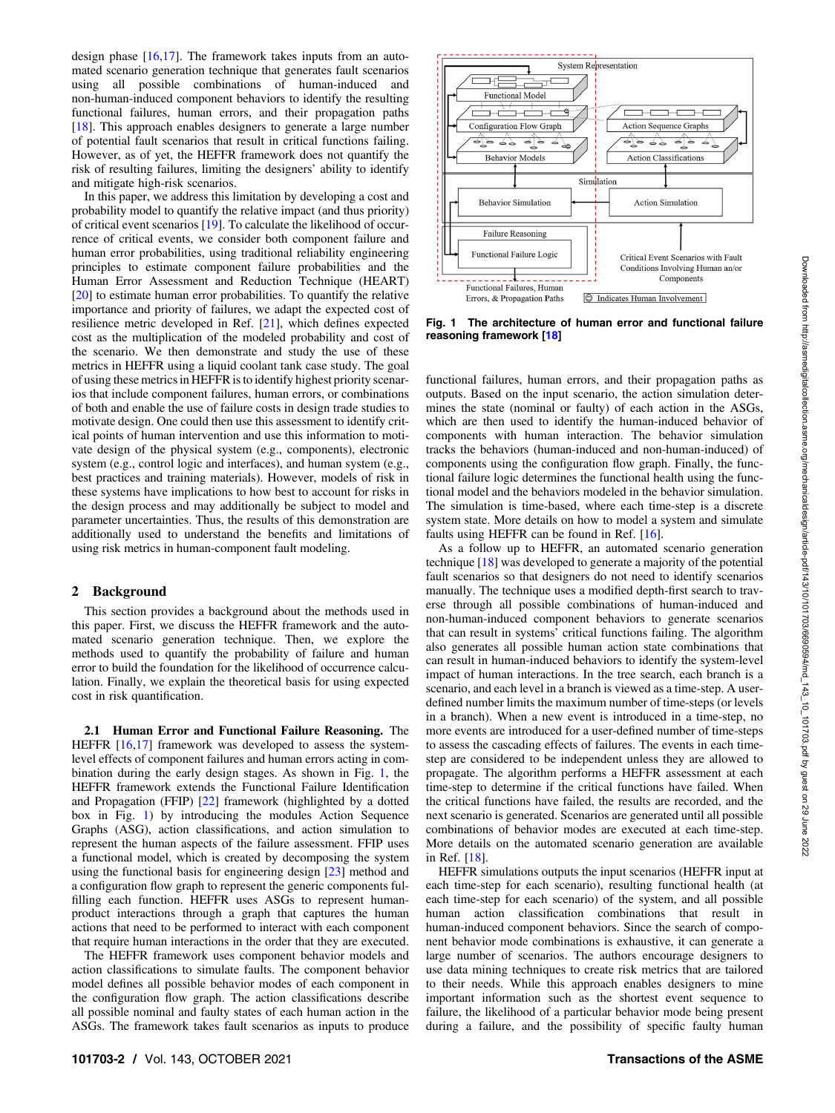design phase [\[16](#page-10-0),[17\]](#page-10-0). The framework takes inputs from an automated scenario generation technique that generates fault scenarios using all possible combinations of human-induced and non-human-induced component behaviors to identify the resulting functional failures, human errors, and their propagation paths [[18\]](#page-10-0). This approach enables designers to generate a large number of potential fault scenarios that result in critical functions failing. However, as of yet, the HEFFR framework does not quantify the risk of resulting failures, limiting the designers' ability to identify and mitigate high-risk scenarios.

In this paper, we address this limitation by developing a cost and probability model to quantify the relative impact (and thus priority) of critical event scenarios [\[19](#page-10-0)]. To calculate the likelihood of occurrence of critical events, we consider both component failure and human error probabilities, using traditional reliability engineering principles to estimate component failure probabilities and the Human Error Assessment and Reduction Technique (HEART) [[20\]](#page-10-0) to estimate human error probabilities. To quantify the relative importance and priority of failures, we adapt the expected cost of resilience metric developed in Ref. [\[21](#page-10-0)], which defines expected cost as the multiplication of the modeled probability and cost of the scenario. We then demonstrate and study the use of these metrics in HEFFR using a liquid coolant tank case study. The goal of using these metrics in HEFFR is to identify highest priority scenarios that include component failures, human errors, or combinations of both and enable the use of failure costs in design trade studies to motivate design. One could then use this assessment to identify critical points of human intervention and use this information to motivate design of the physical system (e.g., components), electronic system (e.g., control logic and interfaces), and human system (e.g., best practices and training materials). However, models of risk in these systems have implications to how best to account for risks in the design process and may additionally be subject to model and parameter uncertainties. Thus, the results of this demonstration are additionally used to understand the benefits and limitations of using risk metrics in human-component fault modeling.

#### 2 Background

This section provides a background about the methods used in this paper. First, we discuss the HEFFR framework and the automated scenario generation technique. Then, we explore the methods used to quantify the probability of failure and human error to build the foundation for the likelihood of occurrence calculation. Finally, we explain the theoretical basis for using expected cost in risk quantification.

2.1 Human Error and Functional Failure Reasoning. The HEFFR [\[16](#page-10-0),[17\]](#page-10-0) framework was developed to assess the systemlevel effects of component failures and human errors acting in combination during the early design stages. As shown in Fig. 1, the HEFFR framework extends the Functional Failure Identification and Propagation (FFIP) [[22\]](#page-10-0) framework (highlighted by a dotted box in Fig. 1) by introducing the modules Action Sequence Graphs (ASG), action classifications, and action simulation to represent the human aspects of the failure assessment. FFIP uses a functional model, which is created by decomposing the system using the functional basis for engineering design [[23\]](#page-11-0) method and a configuration flow graph to represent the generic components fulfilling each function. HEFFR uses ASGs to represent humanproduct interactions through a graph that captures the human actions that need to be performed to interact with each component that require human interactions in the order that they are executed.

The HEFFR framework uses component behavior models and action classifications to simulate faults. The component behavior model defines all possible behavior modes of each component in the configuration flow graph. The action classifications describe all possible nominal and faulty states of each human action in the ASGs. The framework takes fault scenarios as inputs to produce



Fig. 1 The architecture of human error and functional failure reasoning framework [\[18\]](#page-10-0)

functional failures, human errors, and their propagation paths as outputs. Based on the input scenario, the action simulation determines the state (nominal or faulty) of each action in the ASGs, which are then used to identify the human-induced behavior of components with human interaction. The behavior simulation tracks the behaviors (human-induced and non-human-induced) of components using the configuration flow graph. Finally, the functional failure logic determines the functional health using the functional model and the behaviors modeled in the behavior simulation. The simulation is time-based, where each time-step is a discrete system state. More details on how to model a system and simulate faults using HEFFR can be found in Ref. [\[16](#page-10-0)].

As a follow up to HEFFR, an automated scenario generation technique [[18](#page-10-0)] was developed to generate a majority of the potential fault scenarios so that designers do not need to identify scenarios manually. The technique uses a modified depth-first search to traverse through all possible combinations of human-induced and non-human-induced component behaviors to generate scenarios that can result in systems' critical functions failing. The algorithm also generates all possible human action state combinations that can result in human-induced behaviors to identify the system-level impact of human interactions. In the tree search, each branch is a scenario, and each level in a branch is viewed as a time-step. A userdefined number limits the maximum number of time-steps (or levels in a branch). When a new event is introduced in a time-step, no more events are introduced for a user-defined number of time-steps to assess the cascading effects of failures. The events in each timestep are considered to be independent unless they are allowed to propagate. The algorithm performs a HEFFR assessment at each time-step to determine if the critical functions have failed. When the critical functions have failed, the results are recorded, and the next scenario is generated. Scenarios are generated until all possible combinations of behavior modes are executed at each time-step. More details on the automated scenario generation are available in Ref. [\[18](#page-10-0)].

HEFFR simulations outputs the input scenarios (HEFFR input at each time-step for each scenario), resulting functional health (at each time-step for each scenario) of the system, and all possible human action classification combinations that result in human-induced component behaviors. Since the search of component behavior mode combinations is exhaustive, it can generate a large number of scenarios. The authors encourage designers to use data mining techniques to create risk metrics that are tailored to their needs. While this approach enables designers to mine important information such as the shortest event sequence to failure, the likelihood of a particular behavior mode being present during a failure, and the possibility of specific faulty human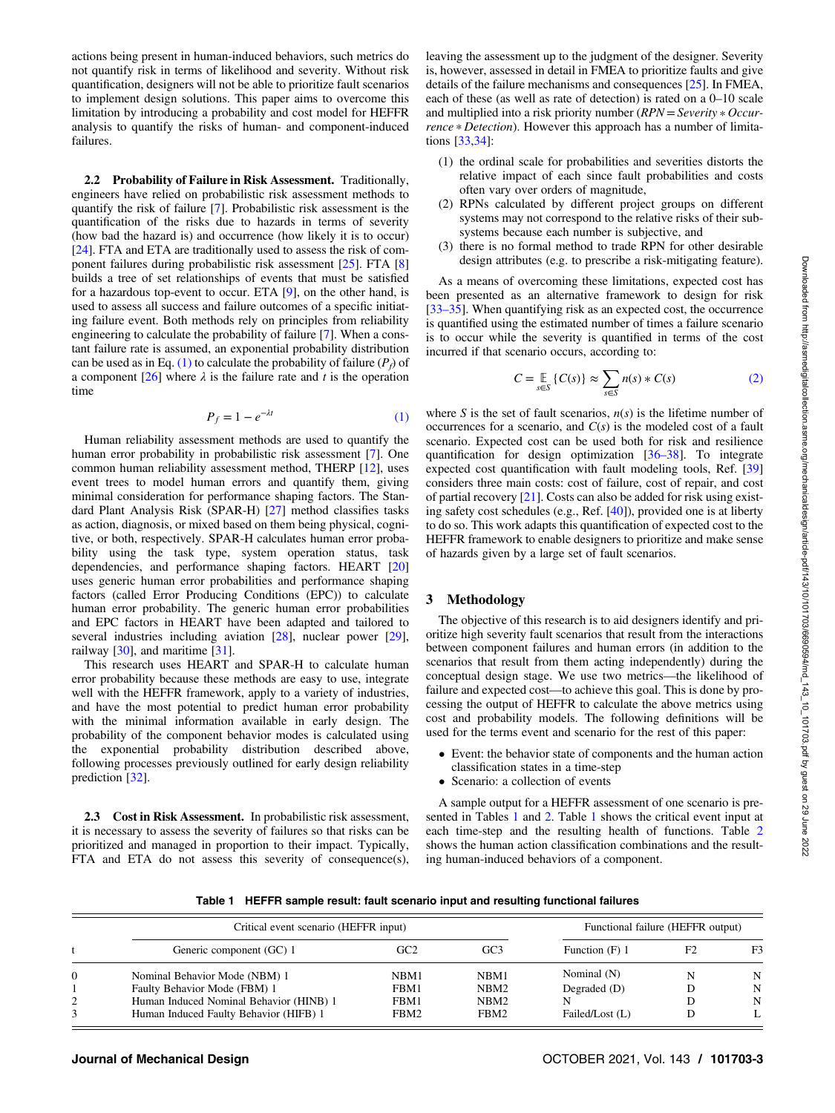<span id="page-2-0"></span>actions being present in human-induced behaviors, such metrics do not quantify risk in terms of likelihood and severity. Without risk quantification, designers will not be able to prioritize fault scenarios to implement design solutions. This paper aims to overcome this limitation by introducing a probability and cost model for HEFFR analysis to quantify the risks of human- and component-induced failures.

2.2 Probability of Failure in Risk Assessment. Traditionally, engineers have relied on probabilistic risk assessment methods to quantify the risk of failure [[7](#page-10-0)]. Probabilistic risk assessment is the quantification of the risks due to hazards in terms of severity (how bad the hazard is) and occurrence (how likely it is to occur) [[24\]](#page-11-0). FTA and ETA are traditionally used to assess the risk of component failures during probabilistic risk assessment [[25\]](#page-11-0). FTA [[8](#page-10-0)] builds a tree of set relationships of events that must be satisfied for a hazardous top-event to occur. ETA [[9](#page-10-0)], on the other hand, is used to assess all success and failure outcomes of a specific initiating failure event. Both methods rely on principles from reliability engineering to calculate the probability of failure [\[7\]](#page-10-0). When a constant failure rate is assumed, an exponential probability distribution can be used as in Eq. (1) to calculate the probability of failure  $(P_f)$  of a component  $[26]$  $[26]$  where  $\lambda$  is the failure rate and t is the operation time

$$
P_f = 1 - e^{-\lambda t} \tag{1}
$$

Human reliability assessment methods are used to quantify the human error probability in probabilistic risk assessment [[7](#page-10-0)]. One common human reliability assessment method, THERP [[12\]](#page-10-0), uses event trees to model human errors and quantify them, giving minimal consideration for performance shaping factors. The Standard Plant Analysis Risk (SPAR-H) [\[27](#page-11-0)] method classifies tasks as action, diagnosis, or mixed based on them being physical, cognitive, or both, respectively. SPAR-H calculates human error probability using the task type, system operation status, task dependencies, and performance shaping factors. HEART [\[20](#page-10-0)] uses generic human error probabilities and performance shaping factors (called Error Producing Conditions (EPC)) to calculate human error probability. The generic human error probabilities and EPC factors in HEART have been adapted and tailored to several industries including aviation [\[28](#page-11-0)], nuclear power [[29\]](#page-11-0), railway [\[30](#page-11-0)], and maritime [\[31](#page-11-0)].

This research uses HEART and SPAR-H to calculate human error probability because these methods are easy to use, integrate well with the HEFFR framework, apply to a variety of industries, and have the most potential to predict human error probability with the minimal information available in early design. The probability of the component behavior modes is calculated using the exponential probability distribution described above, following processes previously outlined for early design reliability prediction [[32\]](#page-11-0).

2.3 Cost in Risk Assessment. In probabilistic risk assessment, it is necessary to assess the severity of failures so that risks can be prioritized and managed in proportion to their impact. Typically, FTA and ETA do not assess this severity of consequence(s),

leaving the assessment up to the judgment of the designer. Severity is, however, assessed in detail in FMEA to prioritize faults and give details of the failure mechanisms and consequences [\[25](#page-11-0)]. In FMEA, each of these (as well as rate of detection) is rated on a 0–10 scale and multiplied into a risk priority number  $(RPN = Severity * Occur$ rence \* Detection). However this approach has a number of limitations [[33,34](#page-11-0)]:

- (1) the ordinal scale for probabilities and severities distorts the relative impact of each since fault probabilities and costs often vary over orders of magnitude,
- (2) RPNs calculated by different project groups on different systems may not correspond to the relative risks of their subsystems because each number is subjective, and
- (3) there is no formal method to trade RPN for other desirable design attributes (e.g. to prescribe a risk-mitigating feature).

As a means of overcoming these limitations, expected cost has been presented as an alternative framework to design for risk [33–35]. When quantifying risk as an expected cost, the occurrence is quantified using the estimated number of times a failure scenario is to occur while the severity is quantified in terms of the cost incurred if that scenario occurs, according to:

$$
C = \mathop{\mathbb{E}}_{s \in S} \{ C(s) \} \approx \sum_{s \in S} n(s) * C(s)
$$
 (2)

where S is the set of fault scenarios,  $n(s)$  is the lifetime number of occurrences for a scenario, and  $C(s)$  is the modeled cost of a fault scenario. Expected cost can be used both for risk and resilience quantification for design optimization [36–38]. To integrate expected cost quantification with fault modeling tools, Ref. [\[39](#page-11-0)] considers three main costs: cost of failure, cost of repair, and cost of partial recovery [[21\]](#page-10-0). Costs can also be added for risk using existing safety cost schedules (e.g., Ref. [\[40](#page-11-0)]), provided one is at liberty to do so. This work adapts this quantification of expected cost to the HEFFR framework to enable designers to prioritize and make sense of hazards given by a large set of fault scenarios.

#### 3 Methodology

The objective of this research is to aid designers identify and prioritize high severity fault scenarios that result from the interactions between component failures and human errors (in addition to the scenarios that result from them acting independently) during the conceptual design stage. We use two metrics—the likelihood of failure and expected cost—to achieve this goal. This is done by processing the output of HEFFR to calculate the above metrics using cost and probability models. The following definitions will be used for the terms event and scenario for the rest of this paper:

- Event: the behavior state of components and the human action classification states in a time-step
- Scenario: a collection of events

A sample output for a HEFFR assessment of one scenario is presented in Tables 1 and [2](#page-3-0). Table 1 shows the critical event input at each time-step and the resulting health of functions. Table [2](#page-3-0) shows the human action classification combinations and the resulting human-induced behaviors of a component.

Table 1 HEFFR sample result: fault scenario input and resulting functional failures

|          | Critical event scenario (HEFFR input)   |      |                  | Functional failure (HEFFR output)<br>F2<br>Function (F) 1 |  |                |
|----------|-----------------------------------------|------|------------------|-----------------------------------------------------------|--|----------------|
|          | Generic component (GC) 1                | GC2  | GC3              |                                                           |  | F <sub>3</sub> |
| $\Omega$ | Nominal Behavior Mode (NBM) 1           | NBM1 | NBM1             | Nominal (N)                                               |  | N              |
|          | Faulty Behavior Mode (FBM) 1            | FBM1 | NBM2             | Degraded $(D)$                                            |  | N              |
| 2        | Human Induced Nominal Behavior (HINB) 1 | FBM1 | NBM <sub>2</sub> |                                                           |  | N              |
|          | Human Induced Faulty Behavior (HIFB) 1  | FBM2 | FBM2             | Failed/Lost (L)                                           |  |                |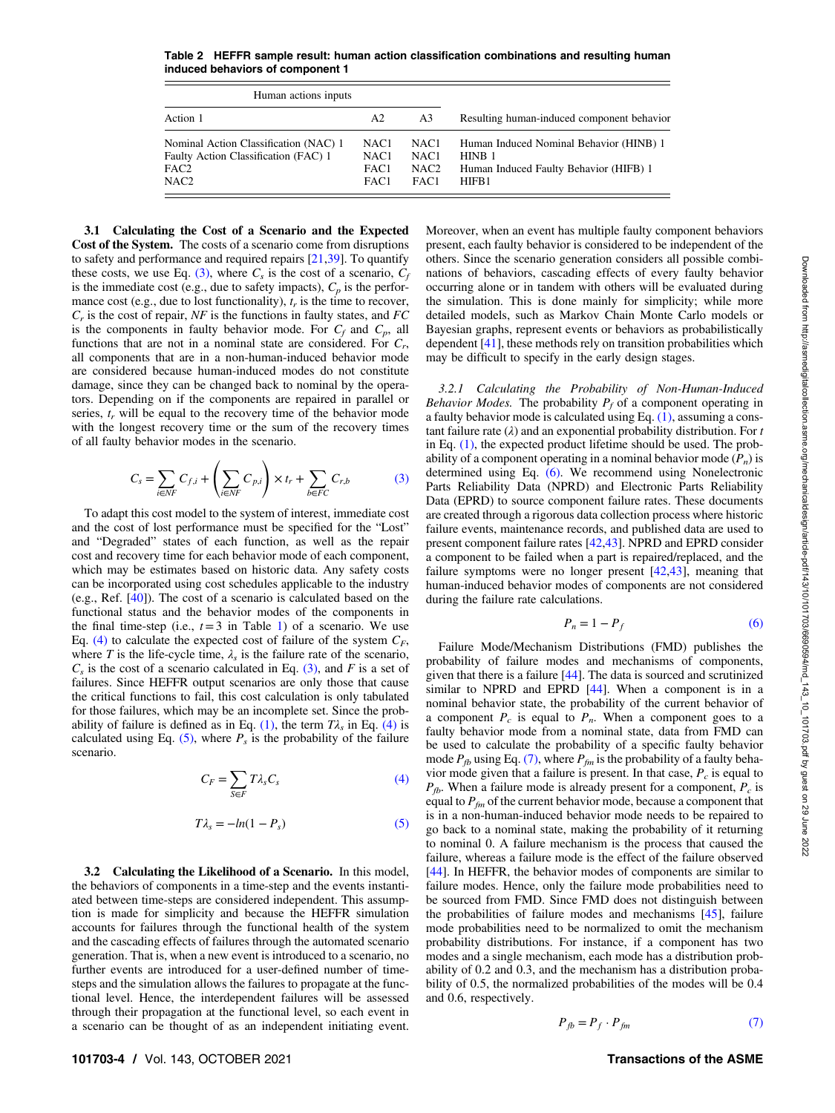<span id="page-3-0"></span>Table 2 HEFFR sample result: human action classification combinations and resulting human induced behaviors of component 1

| Human actions inputs                                                                                                  |                                                      |                                                                  |                                                                                                                 |
|-----------------------------------------------------------------------------------------------------------------------|------------------------------------------------------|------------------------------------------------------------------|-----------------------------------------------------------------------------------------------------------------|
| Action 1                                                                                                              | A2                                                   | A <sub>3</sub>                                                   | Resulting human-induced component behavior                                                                      |
| Nominal Action Classification (NAC) 1<br>Faulty Action Classification (FAC) 1<br>FAC <sub>2</sub><br>NAC <sub>2</sub> | NAC <sub>1</sub><br>NAC <sub>1</sub><br>FAC1<br>FAC1 | NAC <sub>1</sub><br>NAC <sub>1</sub><br>NAC <sub>2</sub><br>FAC1 | Human Induced Nominal Behavior (HINB) 1<br>HINB <sub>1</sub><br>Human Induced Faulty Behavior (HIFB) 1<br>HIFB1 |

3.1 Calculating the Cost of a Scenario and the Expected Cost of the System. The costs of a scenario come from disruptions to safety and performance and required repairs [[21,](#page-10-0)[39\]](#page-11-0). To quantify these costs, we use Eq. (3), where  $C_s$  is the cost of a scenario,  $C_f$ is the immediate cost (e.g., due to safety impacts),  $C_p$  is the performance cost (e.g., due to lost functionality),  $t_r$  is the time to recover,  $C_r$  is the cost of repair, NF is the functions in faulty states, and FC is the components in faulty behavior mode. For  $C_f$  and  $C_p$ , all functions that are not in a nominal state are considered. For  $C_r$ , all components that are in a non-human-induced behavior mode are considered because human-induced modes do not constitute damage, since they can be changed back to nominal by the operators. Depending on if the components are repaired in parallel or series,  $t_r$  will be equal to the recovery time of the behavior mode with the longest recovery time or the sum of the recovery times of all faulty behavior modes in the scenario.

$$
C_s = \sum_{i \in NF} C_{f,i} + \left(\sum_{i \in NF} C_{p,i}\right) \times t_r + \sum_{b \in FC} C_{r,b} \tag{3}
$$

To adapt this cost model to the system of interest, immediate cost and the cost of lost performance must be specified for the "Lost" and "Degraded" states of each function, as well as the repair cost and recovery time for each behavior mode of each component, which may be estimates based on historic data. Any safety costs can be incorporated using cost schedules applicable to the industry (e.g., Ref. [[40\]](#page-11-0)). The cost of a scenario is calculated based on the functional status and the behavior modes of the components in the final time-step (i.e.,  $t=3$  in Table [1](#page-2-0)) of a scenario. We use Eq. (4) to calculate the expected cost of failure of the system  $C_F$ , where T is the life-cycle time,  $\lambda_s$  is the failure rate of the scenario,  $C_s$  is the cost of a scenario calculated in Eq. (3), and F is a set of failures. Since HEFFR output scenarios are only those that cause the critical functions to fail, this cost calculation is only tabulated for those failures, which may be an incomplete set. Since the prob-ability of failure is defined as in Eq. [\(1\)](#page-2-0), the term  $T\lambda_s$  in Eq. (4) is calculated using Eq.  $(5)$ , where  $P_s$  is the probability of the failure scenario.

$$
C_F = \sum_{S \in F} T \lambda_s C_s \tag{4}
$$

$$
T\lambda_s = -\ln(1 - P_s) \tag{5}
$$

3.2 Calculating the Likelihood of a Scenario. In this model, the behaviors of components in a time-step and the events instantiated between time-steps are considered independent. This assumption is made for simplicity and because the HEFFR simulation accounts for failures through the functional health of the system and the cascading effects of failures through the automated scenario generation. That is, when a new event is introduced to a scenario, no further events are introduced for a user-defined number of timesteps and the simulation allows the failures to propagate at the functional level. Hence, the interdependent failures will be assessed through their propagation at the functional level, so each event in a scenario can be thought of as an independent initiating event.

Moreover, when an event has multiple faulty component behaviors present, each faulty behavior is considered to be independent of the others. Since the scenario generation considers all possible combinations of behaviors, cascading effects of every faulty behavior occurring alone or in tandem with others will be evaluated during the simulation. This is done mainly for simplicity; while more detailed models, such as Markov Chain Monte Carlo models or Bayesian graphs, represent events or behaviors as probabilistically dependent [[41\]](#page-11-0), these methods rely on transition probabilities which may be difficult to specify in the early design stages.

3.2.1 Calculating the Probability of Non-Human-Induced Behavior Modes. The probability  $P_f$  of a component operating in a faulty behavior mode is calculated using Eq. [\(1\),](#page-2-0) assuming a constant failure rate  $(\lambda)$  and an exponential probability distribution. For t in Eq.  $(1)$ , the expected product lifetime should be used. The probability of a component operating in a nominal behavior mode  $(P_n)$  is determined using Eq. (6). We recommend using Nonelectronic Parts Reliability Data (NPRD) and Electronic Parts Reliability Data (EPRD) to source component failure rates. These documents are created through a rigorous data collection process where historic failure events, maintenance records, and published data are used to present component failure rates [\[42](#page-11-0),[43\]](#page-11-0). NPRD and EPRD consider a component to be failed when a part is repaired/replaced, and the failure symptoms were no longer present [\[42](#page-11-0),[43\]](#page-11-0), meaning that human-induced behavior modes of components are not considered during the failure rate calculations.

$$
P_n = 1 - P_f \tag{6}
$$

Failure Mode/Mechanism Distributions (FMD) publishes the probability of failure modes and mechanisms of components, given that there is a failure [\[44](#page-11-0)]. The data is sourced and scrutinized similar to NPRD and EPRD [[44\]](#page-11-0). When a component is in a nominal behavior state, the probability of the current behavior of a component  $P_c$  is equal to  $P_n$ . When a component goes to a faulty behavior mode from a nominal state, data from FMD can be used to calculate the probability of a specific faulty behavior mode  $P_{fb}$  using Eq. (7), where  $P_{fm}$  is the probability of a faulty behavior mode given that a failure is present. In that case,  $P_c$  is equal to  $P_{fb}$ . When a failure mode is already present for a component,  $P_c$  is equal to  $P_{\text{fm}}$  of the current behavior mode, because a component that is in a non-human-induced behavior mode needs to be repaired to go back to a nominal state, making the probability of it returning to nominal 0. A failure mechanism is the process that caused the failure, whereas a failure mode is the effect of the failure observed [[44\]](#page-11-0). In HEFFR, the behavior modes of components are similar to failure modes. Hence, only the failure mode probabilities need to be sourced from FMD. Since FMD does not distinguish between the probabilities of failure modes and mechanisms [[45\]](#page-11-0), failure mode probabilities need to be normalized to omit the mechanism probability distributions. For instance, if a component has two modes and a single mechanism, each mode has a distribution probability of 0.2 and 0.3, and the mechanism has a distribution probability of 0.5, the normalized probabilities of the modes will be 0.4 and 0.6, respectively.

$$
P_{fb} = P_f \cdot P_{fm} \tag{7}
$$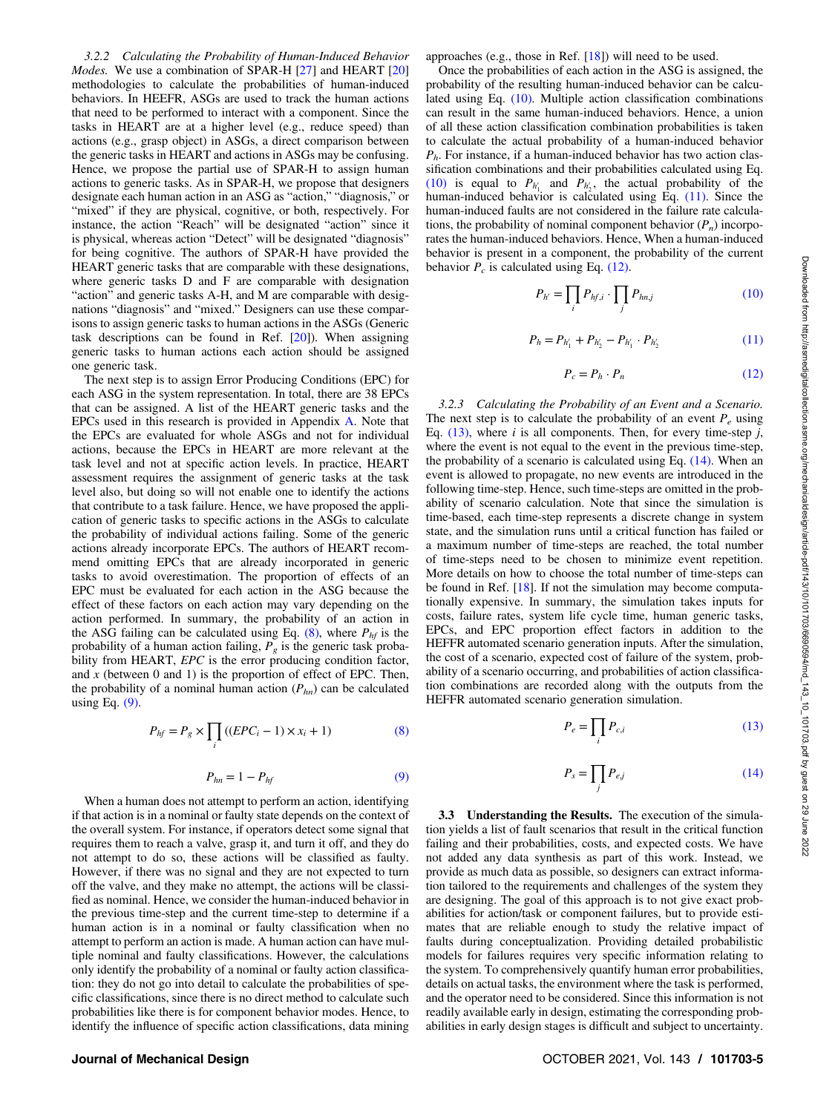3.2.2 Calculating the Probability of Human-Induced Behavior Modes. We use a combination of SPAR-H [\[27](#page-11-0)] and HEART [\[20](#page-10-0)] methodologies to calculate the probabilities of human-induced behaviors. In HEEFR, ASGs are used to track the human actions that need to be performed to interact with a component. Since the tasks in HEART are at a higher level (e.g., reduce speed) than actions (e.g., grasp object) in ASGs, a direct comparison between the generic tasks in HEART and actions in ASGs may be confusing. Hence, we propose the partial use of SPAR-H to assign human actions to generic tasks. As in SPAR-H, we propose that designers designate each human action in an ASG as "action," "diagnosis," or "mixed" if they are physical, cognitive, or both, respectively. For instance, the action "Reach" will be designated "action" since it is physical, whereas action "Detect" will be designated "diagnosis" for being cognitive. The authors of SPAR-H have provided the HEART generic tasks that are comparable with these designations, where generic tasks D and F are comparable with designation "action" and generic tasks A-H, and M are comparable with designations "diagnosis" and "mixed." Designers can use these comparisons to assign generic tasks to human actions in the ASGs (Generic task descriptions can be found in Ref. [\[20](#page-10-0)]). When assigning generic tasks to human actions each action should be assigned one generic task.

The next step is to assign Error Producing Conditions (EPC) for each ASG in the system representation. In total, there are 38 EPCs that can be assigned. A list of the HEART generic tasks and the EPCs used in this research is provided in Appendix A. Note that the EPCs are evaluated for whole ASGs and not for individual actions, because the EPCs in HEART are more relevant at the task level and not at specific action levels. In practice, HEART assessment requires the assignment of generic tasks at the task level also, but doing so will not enable one to identify the actions that contribute to a task failure. Hence, we have proposed the application of generic tasks to specific actions in the ASGs to calculate the probability of individual actions failing. Some of the generic actions already incorporate EPCs. The authors of HEART recommend omitting EPCs that are already incorporated in generic tasks to avoid overestimation. The proportion of effects of an EPC must be evaluated for each action in the ASG because the effect of these factors on each action may vary depending on the action performed. In summary, the probability of an action in the ASG failing can be calculated using Eq.  $(8)$ , where  $P<sub>hf</sub>$  is the probability of a human action failing,  $P_g$  is the generic task probability from HEART, EPC is the error producing condition factor, and  $x$  (between 0 and 1) is the proportion of effect of EPC. Then, the probability of a nominal human action  $(P_{hn})$  can be calculated using Eq.  $(9)$ .

$$
P_{hf} = P_g \times \prod_i \left( (EPC_i - 1) \times x_i + 1 \right) \tag{8}
$$

$$
P_{hn} = 1 - P_{hf} \tag{9}
$$

When a human does not attempt to perform an action, identifying if that action is in a nominal or faulty state depends on the context of the overall system. For instance, if operators detect some signal that requires them to reach a valve, grasp it, and turn it off, and they do not attempt to do so, these actions will be classified as faulty. However, if there was no signal and they are not expected to turn off the valve, and they make no attempt, the actions will be classified as nominal. Hence, we consider the human-induced behavior in the previous time-step and the current time-step to determine if a human action is in a nominal or faulty classification when no attempt to perform an action is made. A human action can have multiple nominal and faulty classifications. However, the calculations only identify the probability of a nominal or faulty action classification: they do not go into detail to calculate the probabilities of specific classifications, since there is no direct method to calculate such probabilities like there is for component behavior modes. Hence, to identify the influence of specific action classifications, data mining

approaches (e.g., those in Ref. [\[18](#page-10-0)]) will need to be used.

Once the probabilities of each action in the ASG is assigned, the probability of the resulting human-induced behavior can be calculated using Eq. (10). Multiple action classification combinations can result in the same human-induced behaviors. Hence, a union of all these action classification combination probabilities is taken to calculate the actual probability of a human-induced behavior  $P_h$ . For instance, if a human-induced behavior has two action classification combinations and their probabilities calculated using Eq. (10) is equal to  $P_{h'_1}$  and  $P_{h'_2}$ , the actual probability of the human-induced behavior is calculated using Eq. (11). Since the human-induced faults are not considered in the failure rate calculations, the probability of nominal component behavior  $(P_n)$  incorporates the human-induced behaviors. Hence, When a human-induced behavior is present in a component, the probability of the current behavior  $P_c$  is calculated using Eq. (12).

$$
P_{h'} = \prod_{i} P_{hf,i} \cdot \prod_{j} P_{hn,j} \tag{10}
$$

$$
P_h = P_{h'_1} + P_{h'_2} - P_{h'_1} \cdot P_{h'_2} \tag{11}
$$

$$
P_c = P_h \cdot P_n \tag{12}
$$

3.2.3 Calculating the Probability of an Event and a Scenario. The next step is to calculate the probability of an event  $P_e$  using Eq.  $(13)$ , where *i* is all components. Then, for every time-step *j*, where the event is not equal to the event in the previous time-step, the probability of a scenario is calculated using Eq. (14). When an event is allowed to propagate, no new events are introduced in the following time-step. Hence, such time-steps are omitted in the probability of scenario calculation. Note that since the simulation is time-based, each time-step represents a discrete change in system state, and the simulation runs until a critical function has failed or a maximum number of time-steps are reached, the total number of time-steps need to be chosen to minimize event repetition. More details on how to choose the total number of time-steps can be found in Ref. [[18\]](#page-10-0). If not the simulation may become computationally expensive. In summary, the simulation takes inputs for costs, failure rates, system life cycle time, human generic tasks, EPCs, and EPC proportion effect factors in addition to the HEFFR automated scenario generation inputs. After the simulation, the cost of a scenario, expected cost of failure of the system, probability of a scenario occurring, and probabilities of action classification combinations are recorded along with the outputs from the HEFFR automated scenario generation simulation.

$$
P_e = \prod_i P_{c,i} \tag{13}
$$

$$
P_s = \prod_j P_{ej} \tag{14}
$$

3.3 Understanding the Results. The execution of the simulation yields a list of fault scenarios that result in the critical function failing and their probabilities, costs, and expected costs. We have not added any data synthesis as part of this work. Instead, we provide as much data as possible, so designers can extract information tailored to the requirements and challenges of the system they are designing. The goal of this approach is to not give exact probabilities for action/task or component failures, but to provide estimates that are reliable enough to study the relative impact of faults during conceptualization. Providing detailed probabilistic models for failures requires very specific information relating to the system. To comprehensively quantify human error probabilities, details on actual tasks, the environment where the task is performed, and the operator need to be considered. Since this information is not readily available early in design, estimating the corresponding probabilities in early design stages is difficult and subject to uncertainty.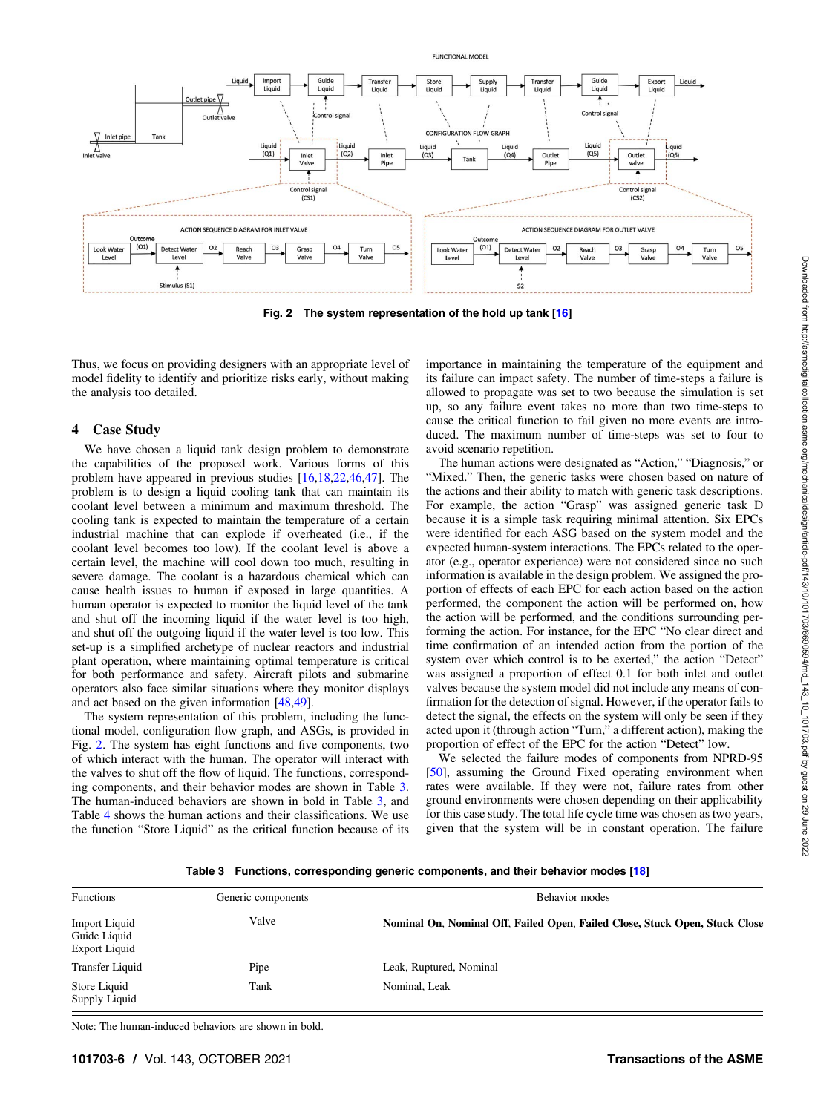

**FUNCTIONAL MODEL** 

Fig. 2 The system representation of the hold up tank [\[16](#page-10-0)]

Thus, we focus on providing designers with an appropriate level of model fidelity to identify and prioritize risks early, without making the analysis too detailed.

#### 4 Case Study

We have chosen a liquid tank design problem to demonstrate the capabilities of the proposed work. Various forms of this problem have appeared in previous studies [[16,18,22](#page-10-0)[,46](#page-11-0),[47\]](#page-11-0). The problem is to design a liquid cooling tank that can maintain its coolant level between a minimum and maximum threshold. The cooling tank is expected to maintain the temperature of a certain industrial machine that can explode if overheated (i.e., if the coolant level becomes too low). If the coolant level is above a certain level, the machine will cool down too much, resulting in severe damage. The coolant is a hazardous chemical which can cause health issues to human if exposed in large quantities. A human operator is expected to monitor the liquid level of the tank and shut off the incoming liquid if the water level is too high, and shut off the outgoing liquid if the water level is too low. This set-up is a simplified archetype of nuclear reactors and industrial plant operation, where maintaining optimal temperature is critical for both performance and safety. Aircraft pilots and submarine operators also face similar situations where they monitor displays and act based on the given information [\[48,49](#page-11-0)].

The system representation of this problem, including the functional model, configuration flow graph, and ASGs, is provided in Fig. 2. The system has eight functions and five components, two of which interact with the human. The operator will interact with the valves to shut off the flow of liquid. The functions, corresponding components, and their behavior modes are shown in Table 3. The human-induced behaviors are shown in bold in Table 3, and Table [4](#page-6-0) shows the human actions and their classifications. We use the function "Store Liquid" as the critical function because of its importance in maintaining the temperature of the equipment and its failure can impact safety. The number of time-steps a failure is allowed to propagate was set to two because the simulation is set up, so any failure event takes no more than two time-steps to cause the critical function to fail given no more events are introduced. The maximum number of time-steps was set to four to avoid scenario repetition.

The human actions were designated as "Action," "Diagnosis," or "Mixed." Then, the generic tasks were chosen based on nature of the actions and their ability to match with generic task descriptions. For example, the action "Grasp" was assigned generic task D because it is a simple task requiring minimal attention. Six EPCs were identified for each ASG based on the system model and the expected human-system interactions. The EPCs related to the operator (e.g., operator experience) were not considered since no such information is available in the design problem. We assigned the proportion of effects of each EPC for each action based on the action performed, the component the action will be performed on, how the action will be performed, and the conditions surrounding performing the action. For instance, for the EPC "No clear direct and time confirmation of an intended action from the portion of the system over which control is to be exerted," the action "Detect" was assigned a proportion of effect 0.1 for both inlet and outlet valves because the system model did not include any means of confirmation for the detection of signal. However, if the operator fails to detect the signal, the effects on the system will only be seen if they acted upon it (through action "Turn," a different action), making the proportion of effect of the EPC for the action "Detect" low.

We selected the failure modes of components from NPRD-95 [[50\]](#page-11-0), assuming the Ground Fixed operating environment when rates were available. If they were not, failure rates from other ground environments were chosen depending on their applicability for this case study. The total life cycle time was chosen as two years, given that the system will be in constant operation. The failure

Table 3 Functions, corresponding generic components, and their behavior modes [\[18](#page-10-0)]

| <b>Functions</b>                                             | Generic components | Behavior modes                                                              |  |  |  |  |
|--------------------------------------------------------------|--------------------|-----------------------------------------------------------------------------|--|--|--|--|
| <b>Import Liquid</b><br>Guide Liquid<br><b>Export Liquid</b> | Valve              | Nominal On, Nominal Off, Failed Open, Failed Close, Stuck Open, Stuck Close |  |  |  |  |
| <b>Transfer Liquid</b>                                       | Pipe               | Leak, Ruptured, Nominal                                                     |  |  |  |  |
| Store Liquid<br>Supply Liquid                                | Tank               | Nominal, Leak                                                               |  |  |  |  |

Note: The human-induced behaviors are shown in bold.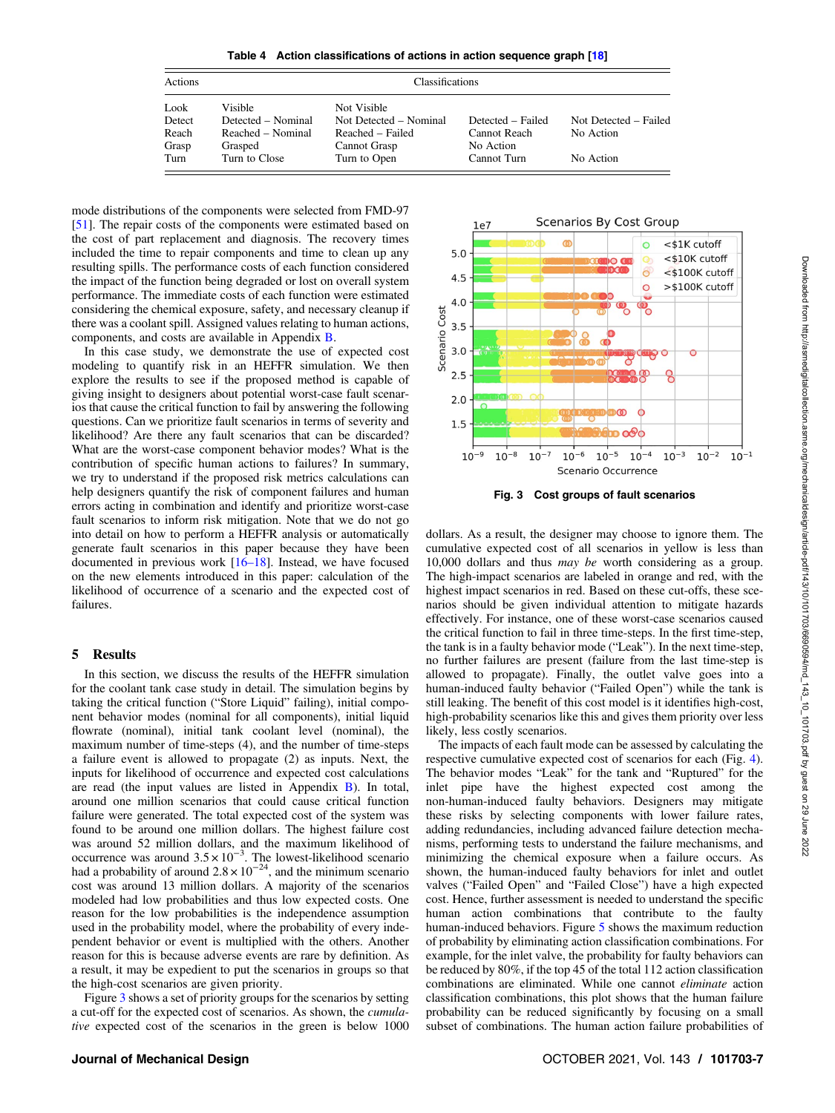<span id="page-6-0"></span>

| Actions |                    | <b>Classifications</b> |                   |                       |
|---------|--------------------|------------------------|-------------------|-----------------------|
| Look    | Visible            | Not Visible            |                   |                       |
| Detect  | Detected – Nominal | Not Detected – Nominal | Detected – Failed | Not Detected – Failed |
| Reach   | Reached – Nominal  | Reached – Failed       | Cannot Reach      | No Action             |
| Grasp   | Grasped            | Cannot Grasp           | No Action         |                       |
| Turn    | Turn to Close      | Turn to Open           | Cannot Turn       | No Action             |

mode distributions of the components were selected from FMD-97 [[51\]](#page-11-0). The repair costs of the components were estimated based on the cost of part replacement and diagnosis. The recovery times included the time to repair components and time to clean up any resulting spills. The performance costs of each function considered the impact of the function being degraded or lost on overall system performance. The immediate costs of each function were estimated considering the chemical exposure, safety, and necessary cleanup if there was a coolant spill. Assigned values relating to human actions, components, and costs are available in Appendix B.

In this case study, we demonstrate the use of expected cost modeling to quantify risk in an HEFFR simulation. We then explore the results to see if the proposed method is capable of giving insight to designers about potential worst-case fault scenarios that cause the critical function to fail by answering the following questions. Can we prioritize fault scenarios in terms of severity and likelihood? Are there any fault scenarios that can be discarded? What are the worst-case component behavior modes? What is the contribution of specific human actions to failures? In summary, we try to understand if the proposed risk metrics calculations can help designers quantify the risk of component failures and human errors acting in combination and identify and prioritize worst-case fault scenarios to inform risk mitigation. Note that we do not go into detail on how to perform a HEFFR analysis or automatically generate fault scenarios in this paper because they have been documented in previous work [16–18]. Instead, we have focused on the new elements introduced in this paper: calculation of the likelihood of occurrence of a scenario and the expected cost of failures.

#### 5 Results

In this section, we discuss the results of the HEFFR simulation for the coolant tank case study in detail. The simulation begins by taking the critical function ("Store Liquid" failing), initial component behavior modes (nominal for all components), initial liquid flowrate (nominal), initial tank coolant level (nominal), the maximum number of time-steps (4), and the number of time-steps a failure event is allowed to propagate (2) as inputs. Next, the inputs for likelihood of occurrence and expected cost calculations are read (the input values are listed in Appendix B). In total, around one million scenarios that could cause critical function failure were generated. The total expected cost of the system was found to be around one million dollars. The highest failure cost was around 52 million dollars, and the maximum likelihood of occurrence was around  $3.5 \times 10^{-3}$ . The lowest-likelihood scenario had a probability of around  $2.8 \times 10^{-24}$ , and the minimum scenario cost was around 13 million dollars. A majority of the scenarios modeled had low probabilities and thus low expected costs. One reason for the low probabilities is the independence assumption used in the probability model, where the probability of every independent behavior or event is multiplied with the others. Another reason for this is because adverse events are rare by definition. As a result, it may be expedient to put the scenarios in groups so that the high-cost scenarios are given priority.

Figure 3 shows a set of priority groups for the scenarios by setting a cut-off for the expected cost of scenarios. As shown, the cumulative expected cost of the scenarios in the green is below 1000



Fig. 3 Cost groups of fault scenarios

dollars. As a result, the designer may choose to ignore them. The cumulative expected cost of all scenarios in yellow is less than 10,000 dollars and thus may be worth considering as a group. The high-impact scenarios are labeled in orange and red, with the highest impact scenarios in red. Based on these cut-offs, these scenarios should be given individual attention to mitigate hazards effectively. For instance, one of these worst-case scenarios caused the critical function to fail in three time-steps. In the first time-step, the tank is in a faulty behavior mode ("Leak"). In the next time-step, no further failures are present (failure from the last time-step is allowed to propagate). Finally, the outlet valve goes into a human-induced faulty behavior ("Failed Open") while the tank is still leaking. The benefit of this cost model is it identifies high-cost, high-probability scenarios like this and gives them priority over less likely, less costly scenarios.

The impacts of each fault mode can be assessed by calculating the respective cumulative expected cost of scenarios for each (Fig. [4\)](#page-7-0). The behavior modes "Leak" for the tank and "Ruptured" for the inlet pipe have the highest expected cost among the non-human-induced faulty behaviors. Designers may mitigate these risks by selecting components with lower failure rates, adding redundancies, including advanced failure detection mechanisms, performing tests to understand the failure mechanisms, and minimizing the chemical exposure when a failure occurs. As shown, the human-induced faulty behaviors for inlet and outlet valves ("Failed Open" and "Failed Close") have a high expected cost. Hence, further assessment is needed to understand the specific human action combinations that contribute to the faulty human-induced behaviors. Figure [5](#page-7-0) shows the maximum reduction of probability by eliminating action classification combinations. For example, for the inlet valve, the probability for faulty behaviors can be reduced by 80%, if the top 45 of the total 112 action classification combinations are eliminated. While one cannot eliminate action classification combinations, this plot shows that the human failure probability can be reduced significantly by focusing on a small subset of combinations. The human action failure probabilities of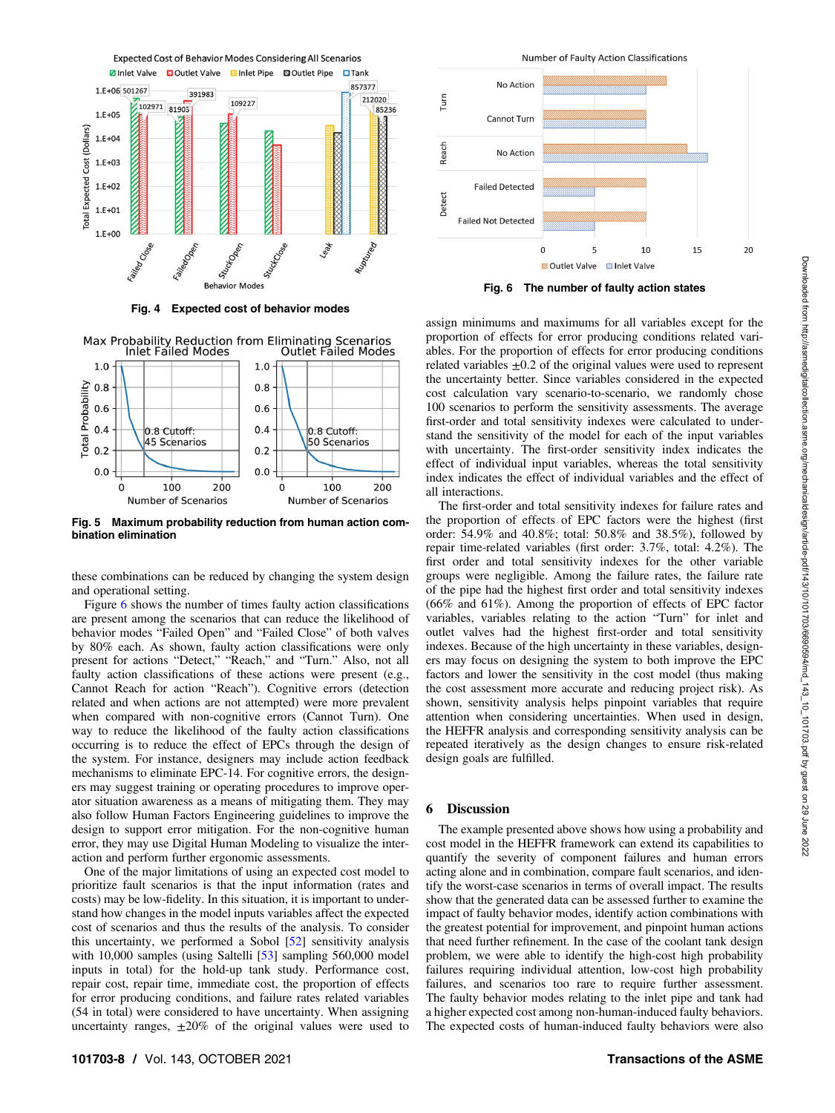<span id="page-7-0"></span>

Max Probability Reduction from Eliminating Scenarios



Fig. 5 Maximum probability reduction from human action combination elimination

these combinations can be reduced by changing the system design and operational setting.

Figure 6 shows the number of times faulty action classifications are present among the scenarios that can reduce the likelihood of behavior modes "Failed Open" and "Failed Close" of both valves by 80% each. As shown, faulty action classifications were only present for actions "Detect," "Reach," and "Turn." Also, not all faulty action classifications of these actions were present (e.g., Cannot Reach for action "Reach"). Cognitive errors (detection related and when actions are not attempted) were more prevalent when compared with non-cognitive errors (Cannot Turn). One way to reduce the likelihood of the faulty action classifications occurring is to reduce the effect of EPCs through the design of the system. For instance, designers may include action feedback mechanisms to eliminate EPC-14. For cognitive errors, the designers may suggest training or operating procedures to improve operator situation awareness as a means of mitigating them. They may also follow Human Factors Engineering guidelines to improve the design to support error mitigation. For the non-cognitive human error, they may use Digital Human Modeling to visualize the interaction and perform further ergonomic assessments.

One of the major limitations of using an expected cost model to prioritize fault scenarios is that the input information (rates and costs) may be low-fidelity. In this situation, it is important to understand how changes in the model inputs variables affect the expected cost of scenarios and thus the results of the analysis. To consider this uncertainty, we performed a Sobol [[52\]](#page-11-0) sensitivity analysis with 10,000 samples (using Saltelli [[53\]](#page-11-0) sampling 560,000 model inputs in total) for the hold-up tank study. Performance cost, repair cost, repair time, immediate cost, the proportion of effects for error producing conditions, and failure rates related variables (54 in total) were considered to have uncertainty. When assigning uncertainty ranges,  $\pm 20\%$  of the original values were used to



assign minimums and maximums for all variables except for the proportion of effects for error producing conditions related variables. For the proportion of effects for error producing conditions related variables  $\pm 0.2$  of the original values were used to represent the uncertainty better. Since variables considered in the expected cost calculation vary scenario-to-scenario, we randomly chose 100 scenarios to perform the sensitivity assessments. The average first-order and total sensitivity indexes were calculated to understand the sensitivity of the model for each of the input variables with uncertainty. The first-order sensitivity index indicates the effect of individual input variables, whereas the total sensitivity index indicates the effect of individual variables and the effect of all interactions.

The first-order and total sensitivity indexes for failure rates and the proportion of effects of EPC factors were the highest (first order: 54.9% and 40.8%; total: 50.8% and 38.5%), followed by repair time-related variables (first order: 3.7%, total: 4.2%). The first order and total sensitivity indexes for the other variable groups were negligible. Among the failure rates, the failure rate of the pipe had the highest first order and total sensitivity indexes (66% and 61%). Among the proportion of effects of EPC factor variables, variables relating to the action "Turn" for inlet and outlet valves had the highest first-order and total sensitivity indexes. Because of the high uncertainty in these variables, designers may focus on designing the system to both improve the EPC factors and lower the sensitivity in the cost model (thus making the cost assessment more accurate and reducing project risk). As shown, sensitivity analysis helps pinpoint variables that require attention when considering uncertainties. When used in design, the HEFFR analysis and corresponding sensitivity analysis can be repeated iteratively as the design changes to ensure risk-related design goals are fulfilled.

#### 6 Discussion

The example presented above shows how using a probability and cost model in the HEFFR framework can extend its capabilities to quantify the severity of component failures and human errors acting alone and in combination, compare fault scenarios, and identify the worst-case scenarios in terms of overall impact. The results show that the generated data can be assessed further to examine the impact of faulty behavior modes, identify action combinations with the greatest potential for improvement, and pinpoint human actions that need further refinement. In the case of the coolant tank design problem, we were able to identify the high-cost high probability failures requiring individual attention, low-cost high probability failures, and scenarios too rare to require further assessment. The faulty behavior modes relating to the inlet pipe and tank had a higher expected cost among non-human-induced faulty behaviors. The expected costs of human-induced faulty behaviors were also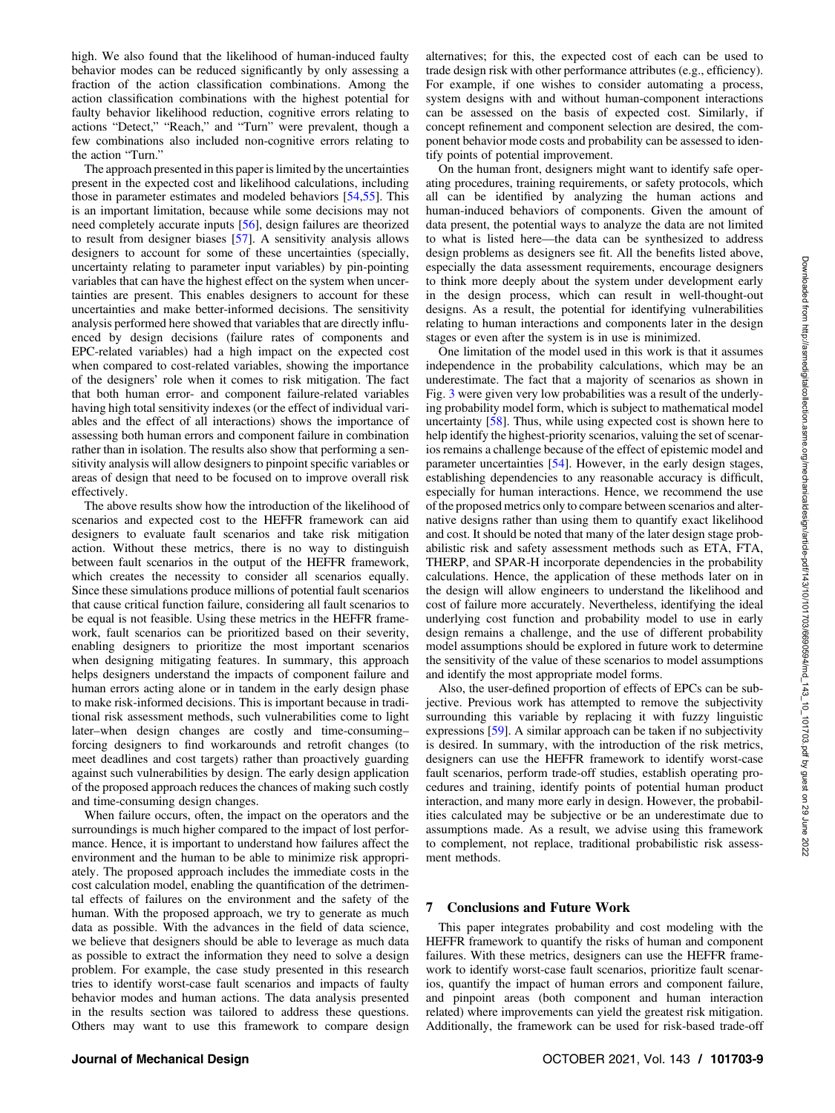high. We also found that the likelihood of human-induced faulty behavior modes can be reduced significantly by only assessing a fraction of the action classification combinations. Among the action classification combinations with the highest potential for faulty behavior likelihood reduction, cognitive errors relating to actions "Detect," "Reach," and "Turn" were prevalent, though a few combinations also included non-cognitive errors relating to the action "Turn."

The approach presented in this paper is limited by the uncertainties present in the expected cost and likelihood calculations, including those in parameter estimates and modeled behaviors [[54,55](#page-11-0)]. This is an important limitation, because while some decisions may not need completely accurate inputs [\[56](#page-11-0)], design failures are theorized to result from designer biases [[57\]](#page-11-0). A sensitivity analysis allows designers to account for some of these uncertainties (specially, uncertainty relating to parameter input variables) by pin-pointing variables that can have the highest effect on the system when uncertainties are present. This enables designers to account for these uncertainties and make better-informed decisions. The sensitivity analysis performed here showed that variables that are directly influenced by design decisions (failure rates of components and EPC-related variables) had a high impact on the expected cost when compared to cost-related variables, showing the importance of the designers' role when it comes to risk mitigation. The fact that both human error- and component failure-related variables having high total sensitivity indexes (or the effect of individual variables and the effect of all interactions) shows the importance of assessing both human errors and component failure in combination rather than in isolation. The results also show that performing a sensitivity analysis will allow designers to pinpoint specific variables or areas of design that need to be focused on to improve overall risk effectively.

The above results show how the introduction of the likelihood of scenarios and expected cost to the HEFFR framework can aid designers to evaluate fault scenarios and take risk mitigation action. Without these metrics, there is no way to distinguish between fault scenarios in the output of the HEFFR framework, which creates the necessity to consider all scenarios equally. Since these simulations produce millions of potential fault scenarios that cause critical function failure, considering all fault scenarios to be equal is not feasible. Using these metrics in the HEFFR framework, fault scenarios can be prioritized based on their severity, enabling designers to prioritize the most important scenarios when designing mitigating features. In summary, this approach helps designers understand the impacts of component failure and human errors acting alone or in tandem in the early design phase to make risk-informed decisions. This is important because in traditional risk assessment methods, such vulnerabilities come to light later–when design changes are costly and time-consuming– forcing designers to find workarounds and retrofit changes (to meet deadlines and cost targets) rather than proactively guarding against such vulnerabilities by design. The early design application of the proposed approach reduces the chances of making such costly and time-consuming design changes.

When failure occurs, often, the impact on the operators and the surroundings is much higher compared to the impact of lost performance. Hence, it is important to understand how failures affect the environment and the human to be able to minimize risk appropriately. The proposed approach includes the immediate costs in the cost calculation model, enabling the quantification of the detrimental effects of failures on the environment and the safety of the human. With the proposed approach, we try to generate as much data as possible. With the advances in the field of data science, we believe that designers should be able to leverage as much data as possible to extract the information they need to solve a design problem. For example, the case study presented in this research tries to identify worst-case fault scenarios and impacts of faulty behavior modes and human actions. The data analysis presented in the results section was tailored to address these questions. Others may want to use this framework to compare design

alternatives; for this, the expected cost of each can be used to trade design risk with other performance attributes (e.g., efficiency). For example, if one wishes to consider automating a process, system designs with and without human-component interactions can be assessed on the basis of expected cost. Similarly, if concept refinement and component selection are desired, the component behavior mode costs and probability can be assessed to identify points of potential improvement.

On the human front, designers might want to identify safe operating procedures, training requirements, or safety protocols, which all can be identified by analyzing the human actions and human-induced behaviors of components. Given the amount of data present, the potential ways to analyze the data are not limited to what is listed here—the data can be synthesized to address design problems as designers see fit. All the benefits listed above, especially the data assessment requirements, encourage designers to think more deeply about the system under development early in the design process, which can result in well-thought-out designs. As a result, the potential for identifying vulnerabilities relating to human interactions and components later in the design stages or even after the system is in use is minimized.

One limitation of the model used in this work is that it assumes independence in the probability calculations, which may be an underestimate. The fact that a majority of scenarios as shown in Fig. [3](#page-6-0) were given very low probabilities was a result of the underlying probability model form, which is subject to mathematical model uncertainty [\[58\]](#page-11-0). Thus, while using expected cost is shown here to help identify the highest-priority scenarios, valuing the set of scenarios remains a challenge because of the effect of epistemic model and parameter uncertainties [[54\]](#page-11-0). However, in the early design stages, establishing dependencies to any reasonable accuracy is difficult, especially for human interactions. Hence, we recommend the use of the proposed metrics only to compare between scenarios and alternative designs rather than using them to quantify exact likelihood and cost. It should be noted that many of the later design stage probabilistic risk and safety assessment methods such as ETA, FTA, THERP, and SPAR-H incorporate dependencies in the probability calculations. Hence, the application of these methods later on in the design will allow engineers to understand the likelihood and cost of failure more accurately. Nevertheless, identifying the ideal underlying cost function and probability model to use in early design remains a challenge, and the use of different probability model assumptions should be explored in future work to determine the sensitivity of the value of these scenarios to model assumptions and identify the most appropriate model forms.

Also, the user-defined proportion of effects of EPCs can be subjective. Previous work has attempted to remove the subjectivity surrounding this variable by replacing it with fuzzy linguistic expressions [[59\]](#page-11-0). A similar approach can be taken if no subjectivity is desired. In summary, with the introduction of the risk metrics, designers can use the HEFFR framework to identify worst-case fault scenarios, perform trade-off studies, establish operating procedures and training, identify points of potential human product interaction, and many more early in design. However, the probabilities calculated may be subjective or be an underestimate due to assumptions made. As a result, we advise using this framework to complement, not replace, traditional probabilistic risk assessment methods.

#### 7 Conclusions and Future Work

This paper integrates probability and cost modeling with the HEFFR framework to quantify the risks of human and component failures. With these metrics, designers can use the HEFFR framework to identify worst-case fault scenarios, prioritize fault scenarios, quantify the impact of human errors and component failure, and pinpoint areas (both component and human interaction related) where improvements can yield the greatest risk mitigation. Additionally, the framework can be used for risk-based trade-off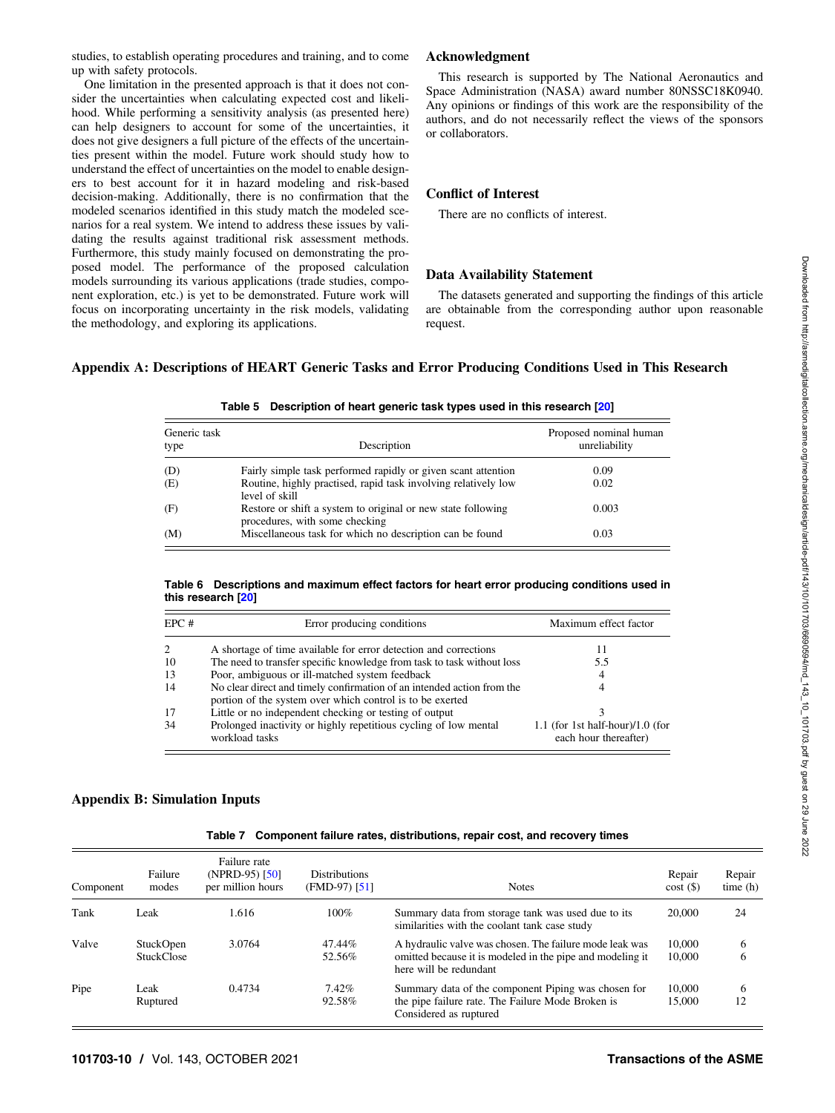studies, to establish operating procedures and training, and to come up with safety protocols.

One limitation in the presented approach is that it does not consider the uncertainties when calculating expected cost and likelihood. While performing a sensitivity analysis (as presented here) can help designers to account for some of the uncertainties, it does not give designers a full picture of the effects of the uncertainties present within the model. Future work should study how to understand the effect of uncertainties on the model to enable designers to best account for it in hazard modeling and risk-based decision-making. Additionally, there is no confirmation that the modeled scenarios identified in this study match the modeled scenarios for a real system. We intend to address these issues by validating the results against traditional risk assessment methods. Furthermore, this study mainly focused on demonstrating the proposed model. The performance of the proposed calculation models surrounding its various applications (trade studies, component exploration, etc.) is yet to be demonstrated. Future work will focus on incorporating uncertainty in the risk models, validating the methodology, and exploring its applications.

## Acknowledgment

This research is supported by The National Aeronautics and Space Administration (NASA) award number 80NSSC18K0940. Any opinions or findings of this work are the responsibility of the authors, and do not necessarily reflect the views of the sponsors or collaborators.

## Conflict of Interest

There are no conflicts of interest.

#### Data Availability Statement

The datasets generated and supporting the findings of this article are obtainable from the corresponding author upon reasonable request.

#### Appendix A: Descriptions of HEART Generic Tasks and Error Producing Conditions Used in This Research

| Generic task<br>type | Description                                                                                    | Proposed nominal human<br>unreliability |
|----------------------|------------------------------------------------------------------------------------------------|-----------------------------------------|
| (D)                  | Fairly simple task performed rapidly or given scant attention                                  | 0.09                                    |
| (E)                  | Routine, highly practised, rapid task involving relatively low<br>level of skill               | 0.02                                    |
| (F)                  | Restore or shift a system to original or new state following<br>procedures, with some checking | 0.003                                   |
| (M)                  | Miscellaneous task for which no description can be found                                       | 0.03                                    |

#### Table 5 Description of heart generic task types used in this research [\[20](#page-10-0)]

#### Table 6 Descriptions and maximum effect factors for heart error producing conditions used in this research [\[20](#page-10-0)]

| EPC# | Error producing conditions                                                                                                          | Maximum effect factor                                     |
|------|-------------------------------------------------------------------------------------------------------------------------------------|-----------------------------------------------------------|
| 2    | A shortage of time available for error detection and corrections                                                                    | 11                                                        |
| 10   | The need to transfer specific knowledge from task to task without loss                                                              | 5.5                                                       |
| 13   | Poor, ambiguous or ill-matched system feedback                                                                                      | 4                                                         |
| 14   | No clear direct and timely confirmation of an intended action from the<br>portion of the system over which control is to be exerted | 4                                                         |
| 17   | Little or no independent checking or testing of output                                                                              |                                                           |
| 34   | Prolonged inactivity or highly repetitious cycling of low mental<br>workload tasks                                                  | 1.1 (for 1st half-hour)/1.0 (for<br>each hour thereafter) |

#### Appendix B: Simulation Inputs

|  | Table 7 Component failure rates, distributions, repair cost, and recovery times |  |  |  |
|--|---------------------------------------------------------------------------------|--|--|--|
|--|---------------------------------------------------------------------------------|--|--|--|

| Component | Failure<br>modes               | Failure rate<br>(NPRD-95) $[50]$<br>per million hours | <b>Distributions</b><br>$(FMD-97)$ [51] | <b>Notes</b>                                                                                                                                   | Repair<br>$cost($ \$) | Repair<br>time(h) |
|-----------|--------------------------------|-------------------------------------------------------|-----------------------------------------|------------------------------------------------------------------------------------------------------------------------------------------------|-----------------------|-------------------|
| Tank      | Leak                           | 1.616                                                 | $100\%$                                 | Summary data from storage tank was used due to its<br>similarities with the coolant tank case study                                            | 20,000                | 24                |
| Valve     | StuckOpen<br><b>StuckClose</b> | 3.0764                                                | 47.44%<br>52.56%                        | A hydraulic valve was chosen. The failure mode leak was<br>omitted because it is modeled in the pipe and modeling it<br>here will be redundant | 10,000<br>10,000      | 6<br>6            |
| Pipe      | Leak<br>Ruptured               | 0.4734                                                | $7.42\%$<br>92.58%                      | Summary data of the component Piping was chosen for<br>the pipe failure rate. The Failure Mode Broken is<br>Considered as ruptured             | 10,000<br>15,000      | 6<br>12           |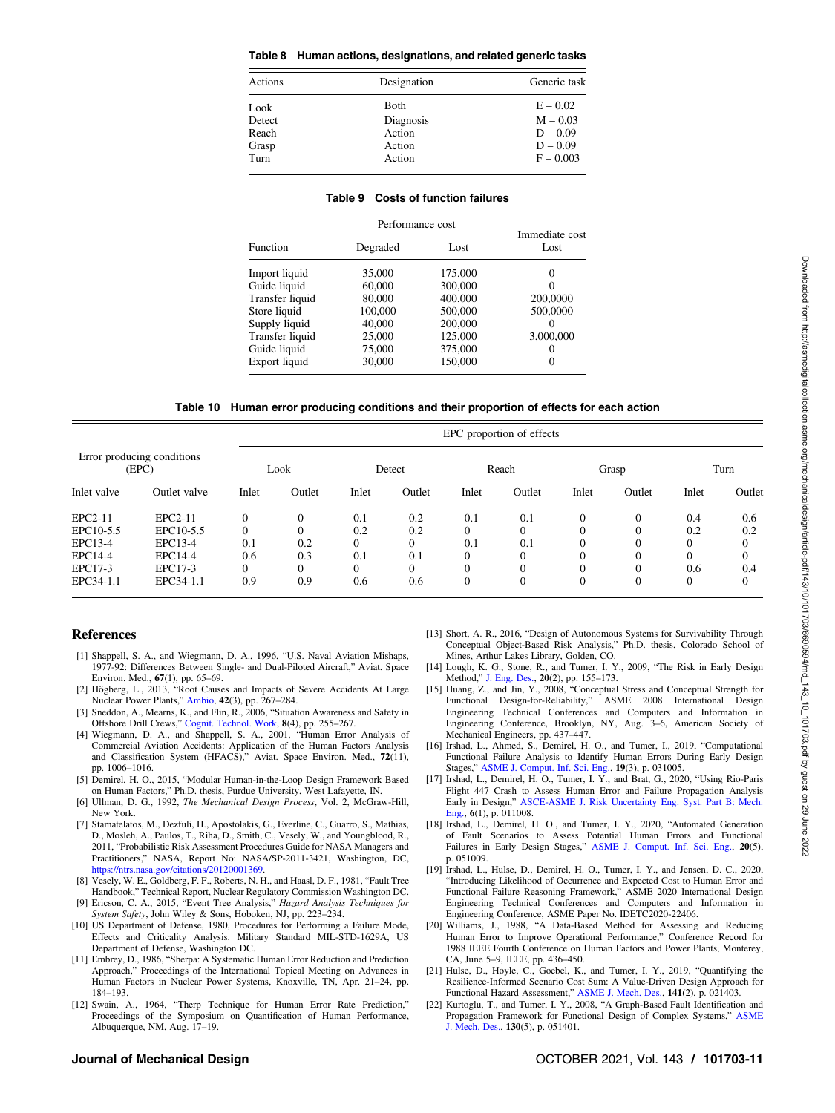#### <span id="page-10-0"></span>Table 8 Human actions, designations, and related generic tasks

| Actions | Designation | Generic task |
|---------|-------------|--------------|
| Look    | Both        | $E - 0.02$   |
| Detect  | Diagnosis   | $M - 0.03$   |
| Reach   | Action      | $D - 0.09$   |
| Grasp   | Action      | $D - 0.09$   |
| Turn    | Action      | $F - 0.003$  |

| Performance cost<br>Immediate cost |          |         |           |  |  |  |  |  |  |
|------------------------------------|----------|---------|-----------|--|--|--|--|--|--|
| <b>Function</b>                    | Degraded | Lost    | Lost      |  |  |  |  |  |  |
| Import liquid                      | 35,000   | 175,000 | 0         |  |  |  |  |  |  |
| Guide liquid                       | 60,000   | 300,000 |           |  |  |  |  |  |  |
| Transfer liquid                    | 80,000   | 400,000 | 200,0000  |  |  |  |  |  |  |
| Store liquid                       | 100,000  | 500,000 | 500,0000  |  |  |  |  |  |  |
| Supply liquid                      | 40,000   | 200,000 | 0         |  |  |  |  |  |  |
| Transfer liquid                    | 25,000   | 125,000 | 3,000,000 |  |  |  |  |  |  |
| Guide liquid                       | 75,000   | 375,000 |           |  |  |  |  |  |  |
| Export liquid                      | 30,000   | 150,000 | 0         |  |  |  |  |  |  |

#### Table 9 Costs of function failures

| Table 10 Human error producing conditions and their proportion of effects for each action |  |  |  |  |  |
|-------------------------------------------------------------------------------------------|--|--|--|--|--|
|-------------------------------------------------------------------------------------------|--|--|--|--|--|

|                                     |              |          | EPC proportion of effects |          |          |          |        |          |              |          |        |
|-------------------------------------|--------------|----------|---------------------------|----------|----------|----------|--------|----------|--------------|----------|--------|
| Error producing conditions<br>(EPC) |              |          | Look                      |          | Detect   |          | Reach  |          | Grasp        |          | Turn   |
| Inlet valve                         | Outlet valve | Inlet    | Outlet                    | Inlet    | Outlet   | Inlet    | Outlet | Inlet    | Outlet       | Inlet    | Outlet |
| EPC2-11                             | EPC2-11      | $\Omega$ | $\Omega$                  | 0.1      | 0.2      | 0.1      | 0.1    | $\Omega$ | $\Omega$     | 0.4      | 0.6    |
| EPC10-5.5                           | EPC10-5.5    | $\Omega$ | $\Omega$                  | 0.2      | 0.2      | $\Omega$ |        | 0        | $\Omega$     | 0.2      | 0.2    |
| EPC13-4                             | EPC13-4      | 0.1      | 0.2                       | $\Omega$ | $\Omega$ | 0.1      | 0.1    | 0        | $\Omega$     |          |        |
| EPC14-4                             | EPC14-4      | 0.6      | 0.3                       | 0.1      | 0.1      |          |        |          | $\Omega$     |          |        |
| EPC17-3                             | EPC17-3      | $\theta$ | $\Omega$                  | $\Omega$ | $\Omega$ |          |        | $\Omega$ | $\Omega$     | 0.6      | 0.4    |
| EPC34-1.1                           | EPC34-1.1    | 0.9      | 0.9                       | 0.6      | 0.6      | $\Omega$ |        | $\Omega$ | $\mathbf{0}$ | $\Omega$ |        |

#### References

- [1] Shappell, S. A., and Wiegmann, D. A., 1996, "U.S. Naval Aviation Mishaps, 1977-92: Differences Between Single- and Dual-Piloted Aircraft," Aviat. Space Environ. Med., 67(1), pp. 65–69.
- [2] Högberg, L., 2013, "Root Causes and Impacts of Severe Accidents At Large Nuclear Power Plants," [Ambio](http://dx.doi.org/10.1007/s13280-013-0382-x), 42(3), pp. 267–284.
- [3] Sneddon, A., Mearns, K., and Flin, R., 2006, "Situation Awareness and Safety in Offshore Drill Crews," [Cognit. Technol. Work,](http://dx.doi.org/10.1007/s10111-006-0040-1) 8(4), pp. 255–267.
- [4] Wiegmann, D. A., and Shappell, S. A., 2001, "Human Error Analysis of Commercial Aviation Accidents: Application of the Human Factors Analysis and Classification System (HFACS)," Aviat. Space Environ. Med., 72(11), pp. 1006–1016.
- [5] Demirel, H. O., 2015, "Modular Human-in-the-Loop Design Framework Based on Human Factors," Ph.D. thesis, Purdue University, West Lafayette, IN.
- [6] Ullman, D. G., 1992, The Mechanical Design Process, Vol. 2, McGraw-Hill, New York.
- [7] Stamatelatos, M., Dezfuli, H., Apostolakis, G., Everline, C., Guarro, S., Mathias, D., Mosleh, A., Paulos, T., Riha, D., Smith, C., Vesely, W., and Youngblood, R., 2011, "Probabilistic Risk Assessment Procedures Guide for NASA Managers and Practitioners," NASA, Report No: NASA/SP-2011-3421, Washington, DC, <https://ntrs.nasa.gov/citations/20120001369>.
- [8] Vesely, W. E., Goldberg, F. F., Roberts, N. H., and Haasl, D. F., 1981, "Fault Tree Handbook," Technical Report, Nuclear Regulatory Commission Washington DC. [9] Ericson, C. A., 2015, "Event Tree Analysis," Hazard Analysis Techniques for
- System Safety, John Wiley & Sons, Hoboken, NJ, pp. 223-234. [10] US Department of Defense, 1980, Procedures for Performing a Failure Mode,
- Effects and Criticality Analysis. Military Standard MIL-STD-1629A, US Department of Defense, Washington DC.
- [11] Embrey, D., 1986, "Sherpa: A Systematic Human Error Reduction and Prediction Approach," Proceedings of the International Topical Meeting on Advances in Human Factors in Nuclear Power Systems, Knoxville, TN, Apr. 21–24, pp. 184–193.
- [12] Swain, A., 1964, "Therp Technique for Human Error Rate Prediction," Proceedings of the Symposium on Quantification of Human Performance, Albuquerque, NM, Aug. 17–19.
- [13] Short, A. R., 2016, "Design of Autonomous Systems for Survivability Through Conceptual Object-Based Risk Analysis," Ph.D. thesis, Colorado School of Mines, Arthur Lakes Library, Golden, CO.
- [14] Lough, K. G., Stone, R., and Tumer, I. Y., 2009, "The Risk in Early Design Method," [J. Eng. Des.,](http://dx.doi.org/10.1080/09544820701684271) 20(2), pp. 155–173.
- [15] Huang, Z., and Jin, Y., 2008, "Conceptual Stress and Conceptual Strength for Functional Design-for-Reliability," ASME 2008 International Design Engineering Technical Conferences and Computers and Information in Engineering Conference, Brooklyn, NY, Aug. 3–6, American Society of Mechanical Engineers, pp. 437–447.
- [16] Irshad, L., Ahmed, S., Demirel, H. O., and Tumer, I., 2019, "Computational Functional Failure Analysis to Identify Human Errors During Early Design Stages," [ASME J. Comput. Inf. Sci. Eng.](http://dx.doi.org/10.1115/1.4042697), 19(3), p. 031005.
- [17] Irshad, L., Demirel, H. O., Tumer, I. Y., and Brat, G., 2020, "Using Rio-Paris Flight 447 Crash to Assess Human Error and Failure Propagation Analysis Early in Design," [ASCE-ASME J. Risk Uncertainty Eng. Syst. Part B: Mech.](http://dx.doi.org/10.1115/1.4044790) [Eng.](http://dx.doi.org/10.1115/1.4044790), 6(1), p. 011008.
- [18] Irshad, L., Demirel, H. O., and Tumer, I. Y., 2020, "Automated Generation of Fault Scenarios to Assess Potential Human Errors and Functional Failures in Early Design Stages," [ASME J. Comput. Inf. Sci. Eng.,](http://dx.doi.org/10.1115/1.4047557) 20(5), p. 051009.
- [19] Irshad, L., Hulse, D., Demirel, H. O., Tumer, I. Y., and Jensen, D. C., 2020, "Introducing Likelihood of Occurrence and Expected Cost to Human Error and Functional Failure Reasoning Framework," ASME 2020 International Design Engineering Technical Conferences and Computers and Information in Engineering Conference, ASME Paper No. IDETC2020-22406.
- [20] Williams, J., 1988, "A Data-Based Method for Assessing and Reducing Human Error to Improve Operational Performance," Conference Record for 1988 IEEE Fourth Conference on Human Factors and Power Plants, Monterey, CA, June 5–9, IEEE, pp. 436–450.
- [21] Hulse, D., Hoyle, C., Goebel, K., and Tumer, I. Y., 2019, "Quantifying the Resilience-Informed Scenario Cost Sum: A Value-Driven Design Approach for Functional Hazard Assessment," [ASME J. Mech. Des.](http://dx.doi.org/10.1115/1.4041571), 141(2), p. 021403.
- [22] Kurtoglu, T., and Tumer, I. Y., 2008, "A Graph-Based Fault Identification and Propagation Framework for Functional Design of Complex Systems," [ASME](http://dx.doi.org/10.1115/1.2885181) [J. Mech. Des.](http://dx.doi.org/10.1115/1.2885181), 130(5), p. 051401.